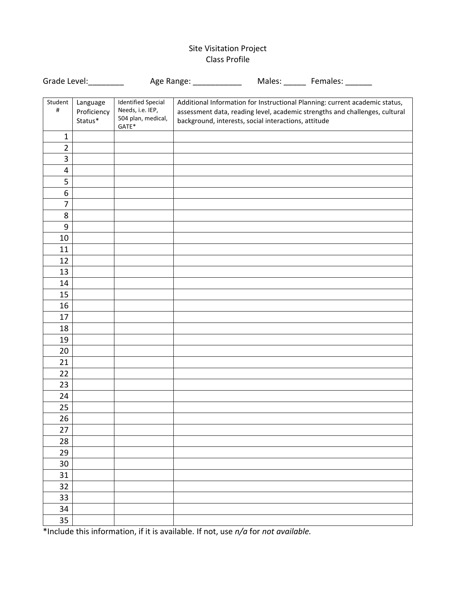## Site Visitation Project Class Profile

| Grade Level:    |                                    | Age Range: _________                                                         |  |                                                      | Males: ______ Females: ___                                                                                                                                 |
|-----------------|------------------------------------|------------------------------------------------------------------------------|--|------------------------------------------------------|------------------------------------------------------------------------------------------------------------------------------------------------------------|
| Student<br>$\#$ | Language<br>Proficiency<br>Status* | <b>Identified Special</b><br>Needs, i.e. IEP,<br>504 plan, medical,<br>GATE* |  | background, interests, social interactions, attitude | Additional Information for Instructional Planning: current academic status,<br>assessment data, reading level, academic strengths and challenges, cultural |
| $\mathbf 1$     |                                    |                                                                              |  |                                                      |                                                                                                                                                            |
| $\overline{2}$  |                                    |                                                                              |  |                                                      |                                                                                                                                                            |
| 3               |                                    |                                                                              |  |                                                      |                                                                                                                                                            |
| 4               |                                    |                                                                              |  |                                                      |                                                                                                                                                            |
| 5               |                                    |                                                                              |  |                                                      |                                                                                                                                                            |
| 6               |                                    |                                                                              |  |                                                      |                                                                                                                                                            |
| 7               |                                    |                                                                              |  |                                                      |                                                                                                                                                            |
| 8               |                                    |                                                                              |  |                                                      |                                                                                                                                                            |
| 9               |                                    |                                                                              |  |                                                      |                                                                                                                                                            |
| 10              |                                    |                                                                              |  |                                                      |                                                                                                                                                            |
| 11              |                                    |                                                                              |  |                                                      |                                                                                                                                                            |
| 12              |                                    |                                                                              |  |                                                      |                                                                                                                                                            |
| 13              |                                    |                                                                              |  |                                                      |                                                                                                                                                            |
| 14              |                                    |                                                                              |  |                                                      |                                                                                                                                                            |
| 15              |                                    |                                                                              |  |                                                      |                                                                                                                                                            |
| 16              |                                    |                                                                              |  |                                                      |                                                                                                                                                            |
| 17              |                                    |                                                                              |  |                                                      |                                                                                                                                                            |
| 18              |                                    |                                                                              |  |                                                      |                                                                                                                                                            |
| 19              |                                    |                                                                              |  |                                                      |                                                                                                                                                            |
| 20              |                                    |                                                                              |  |                                                      |                                                                                                                                                            |
| 21              |                                    |                                                                              |  |                                                      |                                                                                                                                                            |
| 22              |                                    |                                                                              |  |                                                      |                                                                                                                                                            |
| 23              |                                    |                                                                              |  |                                                      |                                                                                                                                                            |
| 24              |                                    |                                                                              |  |                                                      |                                                                                                                                                            |
| 25              |                                    |                                                                              |  |                                                      |                                                                                                                                                            |
| 26              |                                    |                                                                              |  |                                                      |                                                                                                                                                            |
| 27              |                                    |                                                                              |  |                                                      |                                                                                                                                                            |
| 28              |                                    |                                                                              |  |                                                      |                                                                                                                                                            |
| 29              |                                    |                                                                              |  |                                                      |                                                                                                                                                            |
| 30              |                                    |                                                                              |  |                                                      |                                                                                                                                                            |
| 31              |                                    |                                                                              |  |                                                      |                                                                                                                                                            |
| 32              |                                    |                                                                              |  |                                                      |                                                                                                                                                            |
| 33              |                                    |                                                                              |  |                                                      |                                                                                                                                                            |
| 34              |                                    |                                                                              |  |                                                      |                                                                                                                                                            |
| 35              |                                    |                                                                              |  |                                                      |                                                                                                                                                            |

\*Include this information, if it is available. If not, use *n/a* for *not available.*